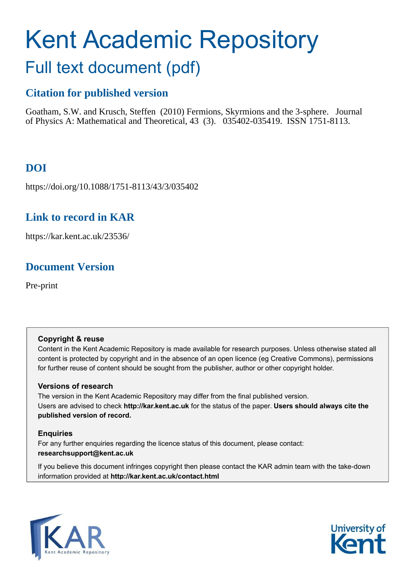# Kent Academic Repository Full text document (pdf)

# **Citation for published version**

Goatham, S.W. and Krusch, Steffen (2010) Fermions, Skyrmions and the 3-sphere. Journal of Physics A: Mathematical and Theoretical, 43 (3). 035402-035419. ISSN 1751-8113.

# **DOI**

https://doi.org/10.1088/1751-8113/43/3/035402

## **Link to record in KAR**

https://kar.kent.ac.uk/23536/

# **Document Version**

Pre-print

#### **Copyright & reuse**

Content in the Kent Academic Repository is made available for research purposes. Unless otherwise stated all content is protected by copyright and in the absence of an open licence (eg Creative Commons), permissions for further reuse of content should be sought from the publisher, author or other copyright holder.

#### **Versions of research**

The version in the Kent Academic Repository may differ from the final published version. Users are advised to check **http://kar.kent.ac.uk** for the status of the paper. **Users should always cite the published version of record.**

#### **Enquiries**

For any further enquiries regarding the licence status of this document, please contact: **researchsupport@kent.ac.uk**

If you believe this document infringes copyright then please contact the KAR admin team with the take-down information provided at **http://kar.kent.ac.uk/contact.html**



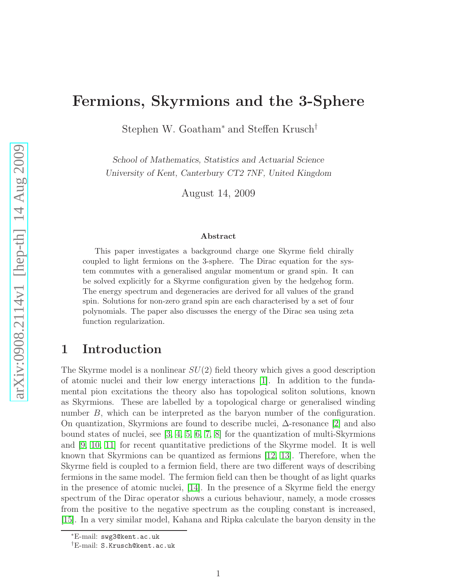# Fermions, Skyrmions and the 3-Sphere

Stephen W. Goatham<sup>∗</sup> and Steffen Krusch†

School of Mathematics, Statistics and Actuarial Science University of Kent, Canterbury CT2 7NF, United Kingdom

August 14, 2009

#### Abstract

This paper investigates a background charge one Skyrme field chirally coupled to light fermions on the 3-sphere. The Dirac equation for the system commutes with a generalised angular momentum or grand spin. It can be solved explicitly for a Skyrme configuration given by the hedgehog form. The energy spectrum and degeneracies are derived for all values of the grand spin. Solutions for non-zero grand spin are each characterised by a set of four polynomials. The paper also discusses the energy of the Dirac sea using zeta function regularization.

## <span id="page-1-0"></span>1 Introduction

The Skyrme model is a nonlinear  $SU(2)$  field theory which gives a good description of atomic nuclei and their low energy interactions [\[1\]](#page-17-0). In addition to the fundamental pion excitations the theory also has topological soliton solutions, known as Skyrmions. These are labelled by a topological charge or generalised winding number B, which can be interpreted as the baryon number of the configuration. On quantization, Skyrmions are found to describe nuclei, ∆-resonance [\[2\]](#page-17-1) and also bound states of nuclei, see [\[3,](#page-17-2) [4,](#page-17-3) [5,](#page-17-4) [6,](#page-17-5) [7,](#page-17-6) [8\]](#page-17-7) for the quantization of multi-Skyrmions and [\[9,](#page-17-8) [10,](#page-17-9) [11\]](#page-17-10) for recent quantitative predictions of the Skyrme model. It is well known that Skyrmions can be quantized as fermions [\[12,](#page-17-11) [13\]](#page-17-12). Therefore, when the Skyrme field is coupled to a fermion field, there are two different ways of describing fermions in the same model. The fermion field can then be thought of as light quarks in the presence of atomic nuclei, [\[14\]](#page-17-13). In the presence of a Skyrme field the energy spectrum of the Dirac operator shows a curious behaviour, namely, a mode crosses from the positive to the negative spectrum as the coupling constant is increased, [\[15\]](#page-17-14). In a very similar model, Kahana and Ripka calculate the baryon density in the

<sup>∗</sup>E-mail: swg3@kent.ac.uk

<sup>†</sup>E-mail: S.Krusch@kent.ac.uk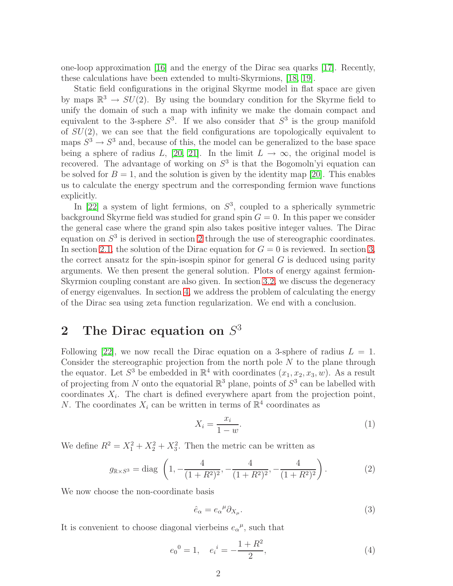one-loop approximation [\[16\]](#page-17-15) and the energy of the Dirac sea quarks [\[17\]](#page-18-0). Recently, these calculations have been extended to multi-Skyrmions, [\[18,](#page-18-1) [19\]](#page-18-2).

Static field configurations in the original Skyrme model in flat space are given by maps  $\mathbb{R}^3 \to SU(2)$ . By using the boundary condition for the Skyrme field to unify the domain of such a map with infinity we make the domain compact and equivalent to the 3-sphere  $S^3$ . If we also consider that  $S^3$  is the group manifold of  $SU(2)$ , we can see that the field configurations are topologically equivalent to maps  $S^3 \to S^3$  and, because of this, the model can be generalized to the base space being a sphere of radius L, [\[20,](#page-18-3) [21\]](#page-18-4). In the limit  $L \to \infty$ , the original model is recovered. The advantage of working on  $S<sup>3</sup>$  is that the Bogomoln'yi equation can be solved for  $B = 1$ , and the solution is given by the identity map [\[20\]](#page-18-3). This enables us to calculate the energy spectrum and the corresponding fermion wave functions explicitly.

In [\[22\]](#page-18-5) a system of light fermions, on  $S^3$ , coupled to a spherically symmetric background Skyrme field was studied for grand spin  $G = 0$ . In this paper we consider the general case where the grand spin also takes positive integer values. The Dirac equation on  $S<sup>3</sup>$  is derived in section [2](#page-1-0) through the use of stereographic coordinates. In section [2.1,](#page-3-0) the solution of the Dirac equation for  $G = 0$  is reviewed. In section [3,](#page-4-0) the correct ansatz for the spin-isospin spinor for general  $G$  is deduced using parity arguments. We then present the general solution. Plots of energy against fermion-Skyrmion coupling constant are also given. In section [3.2,](#page-9-0) we discuss the degeneracy of energy eigenvalues. In section [4,](#page-12-0) we address the problem of calculating the energy of the Dirac sea using zeta function regularization. We end with a conclusion.

# 2 The Dirac equation on  $S^3$

<span id="page-2-0"></span>Following [\[22\]](#page-18-5), we now recall the Dirac equation on a 3-sphere of radius  $L = 1$ . Consider the stereographic projection from the north pole  $N$  to the plane through the equator. Let  $S^3$  be embedded in  $\mathbb{R}^4$  with coordinates  $(x_1, x_2, x_3, w)$ . As a result of projecting from N onto the equatorial  $\mathbb{R}^3$  plane, points of  $S^3$  can be labelled with coordinates  $X_i$ . The chart is defined everywhere apart from the projection point, N. The coordinates  $X_i$  can be written in terms of  $\mathbb{R}^4$  coordinates as

$$
X_i = \frac{x_i}{1 - w}.\tag{1}
$$

We define  $R^2 = X_1^2 + X_2^2 + X_3^2$ . Then the metric can be written as

$$
g_{\mathbb{R}\times S^3} = \text{diag}\left(1, -\frac{4}{(1+R^2)^2}, -\frac{4}{(1+R^2)^2}, -\frac{4}{(1+R^2)^2}\right). \tag{2}
$$

We now choose the non-coordinate basis

<span id="page-2-1"></span>
$$
\hat{e}_{\alpha} = e_{\alpha}{}^{\mu} \partial_{X_{\mu}}.\tag{3}
$$

It is convenient to choose diagonal vierbeins  $e_{\alpha}{}^{\mu}$ , such that

$$
e_0{}^0 = 1, \quad e_i{}^i = -\frac{1+R^2}{2}, \tag{4}
$$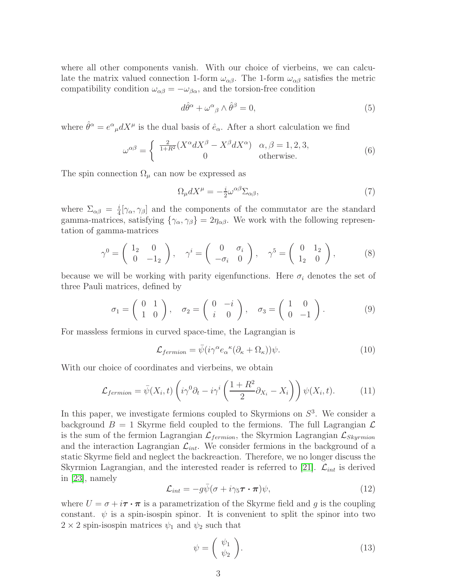where all other components vanish. With our choice of vierbeins, we can calculate the matrix valued connection 1-form  $\omega_{\alpha\beta}$ . The 1-form  $\omega_{\alpha\beta}$  satisfies the metric compatibility condition  $\omega_{\alpha\beta} = -\omega_{\beta\alpha}$ , and the torsion-free condition

$$
d\hat{\theta}^{\alpha} + \omega^{\alpha}{}_{\beta} \wedge \hat{\theta}^{\beta} = 0, \qquad (5)
$$

where  $\hat{\theta}^{\alpha} = e^{\alpha}{}_{\mu} dX^{\mu}$  is the dual basis of  $\hat{e}_{\alpha}$ . After a short calculation we find

$$
\omega^{\alpha\beta} = \begin{cases} \frac{2}{1+R^2} (X^{\alpha} dX^{\beta} - X^{\beta} dX^{\alpha}) & \alpha, \beta = 1, 2, 3, \\ 0 & \text{otherwise.} \end{cases}
$$
(6)

The spin connection  $\Omega_{\mu}$  can now be expressed as

$$
\Omega_{\mu} dX^{\mu} = -\frac{i}{2} \omega^{\alpha \beta} \Sigma_{\alpha \beta},\tag{7}
$$

where  $\Sigma_{\alpha\beta} = \frac{i}{4}$  $\frac{i}{4}[\gamma_{\alpha}, \gamma_{\beta}]$  and the components of the commutator are the standard gamma-matrices, satisfying  $\{\gamma_{\alpha}, \gamma_{\beta}\} = 2\eta_{\alpha\beta}$ . We work with the following representation of gamma-matrices

<span id="page-3-2"></span>
$$
\gamma^0 = \begin{pmatrix} 1_2 & 0 \\ 0 & -1_2 \end{pmatrix}, \quad \gamma^i = \begin{pmatrix} 0 & \sigma_i \\ -\sigma_i & 0 \end{pmatrix}, \quad \gamma^5 = \begin{pmatrix} 0 & 1_2 \\ 1_2 & 0 \end{pmatrix}, \tag{8}
$$

because we will be working with parity eigenfunctions. Here  $\sigma_i$  denotes the set of three Pauli matrices, defined by

$$
\sigma_1 = \begin{pmatrix} 0 & 1 \\ 1 & 0 \end{pmatrix}, \quad \sigma_2 = \begin{pmatrix} 0 & -i \\ i & 0 \end{pmatrix}, \quad \sigma_3 = \begin{pmatrix} 1 & 0 \\ 0 & -1 \end{pmatrix}.
$$
 (9)

<span id="page-3-0"></span>For massless fermions in curved space-time, the Lagrangian is

$$
\mathcal{L}_{fermion} = \bar{\psi}(i\gamma^{\alpha}e_{\alpha}{}^{\kappa}(\partial_{\kappa} + \Omega_{\kappa}))\psi.
$$
 (10)

With our choice of coordinates and vierbeins, we obtain

<span id="page-3-3"></span>
$$
\mathcal{L}_{fermion} = \bar{\psi}(X_i, t) \left( i\gamma^0 \partial_t - i\gamma^i \left( \frac{1+R^2}{2} \partial_{X_i} - X_i \right) \right) \psi(X_i, t). \tag{11}
$$

<span id="page-3-1"></span>In this paper, we investigate fermions coupled to Skyrmions on  $S<sup>3</sup>$ . We consider a background  $B = 1$  Skyrme field coupled to the fermions. The full Lagrangian  $\mathcal{L}$ is the sum of the fermion Lagrangian  $\mathcal{L}_{fermion}$ , the Skyrmion Lagrangian  $\mathcal{L}_{Skyrmion}$ and the interaction Lagrangian  $\mathcal{L}_{int}$ . We consider fermions in the background of a static Skyrme field and neglect the backreaction. Therefore, we no longer discuss the Skyrmion Lagrangian, and the interested reader is referred to [\[21\]](#page-18-4).  $\mathcal{L}_{int}$  is derived in [\[23\]](#page-18-6), namely

$$
\mathcal{L}_{int} = -g\bar{\psi}(\sigma + i\gamma_5 \boldsymbol{\tau} \cdot \boldsymbol{\pi})\psi, \qquad (12)
$$

where  $U = \sigma + i\tau \cdot \pi$  is a parametrization of the Skyrme field and g is the coupling constant.  $\psi$  is a spin-isospin spinor. It is convenient to split the spinor into two  $2 \times 2$  spin-isospin matrices  $\psi_1$  and  $\psi_2$  such that

$$
\psi = \left(\begin{array}{c} \psi_1 \\ \psi_2 \end{array}\right). \tag{13}
$$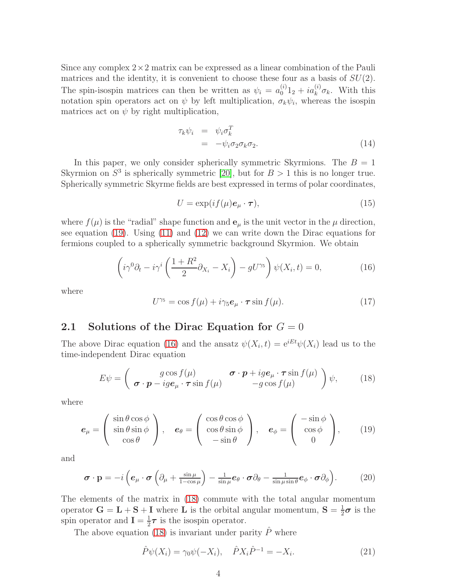Since any complex  $2\times 2$  matrix can be expressed as a linear combination of the Pauli matrices and the identity, it is convenient to choose these four as a basis of  $SU(2)$ . The spin-isospin matrices can then be written as  $\psi_i = a_0^{(i)} 1_2 + i a_k^{(i)} \sigma_k$ . With this notation spin operators act on  $\psi$  by left multiplication,  $\sigma_k \psi_i$ , whereas the isospin matrices act on  $\psi$  by right multiplication,

<span id="page-4-4"></span>
$$
\tau_k \psi_i = \psi_i \sigma_k^T
$$
  
=  $-\psi_i \sigma_2 \sigma_k \sigma_2.$  (14)

In this paper, we only consider spherically symmetric Skyrmions. The  $B = 1$ Skyrmion on  $S^3$  is spherically symmetric [\[20\]](#page-18-3), but for  $B > 1$  this is no longer true. Spherically symmetric Skyrme fields are best expressed in terms of polar coordinates,

$$
U = \exp(if(\mu)e_{\mu} \cdot \boldsymbol{\tau}), \qquad (15)
$$

where  $f(\mu)$  is the "radial" shape function and  $\mathbf{e}_{\mu}$  is the unit vector in the  $\mu$  direction, see equation [\(19\)](#page-3-1). Using [\(11\)](#page-2-0) and [\(12\)](#page-2-1) we can write down the Dirac equations for fermions coupled to a spherically symmetric background Skyrmion. We obtain

<span id="page-4-1"></span>
$$
\left(i\gamma^{0}\partial_{t} - i\gamma^{i}\left(\frac{1+R^{2}}{2}\partial_{X_{i}} - X_{i}\right) - gU^{\gamma_{5}}\right)\psi(X_{i}, t) = 0, \qquad (16)
$$

where

$$
U^{\gamma_5} = \cos f(\mu) + i\gamma_5 \mathbf{e}_{\mu} \cdot \boldsymbol{\tau} \sin f(\mu). \tag{17}
$$

#### 2.1 Solutions of the Dirac Equation for  $G = 0$

The above Dirac equation [\(16\)](#page-3-2) and the ansatz  $\psi(X_i, t) = e^{iEt}\psi(X_i)$  lead us to the time-independent Dirac equation

<span id="page-4-3"></span><span id="page-4-2"></span>
$$
E\psi = \begin{pmatrix} g\cos f(\mu) & \boldsymbol{\sigma} \cdot \boldsymbol{p} + ig\boldsymbol{e}_{\mu} \cdot \boldsymbol{\tau} \sin f(\mu) \\ \boldsymbol{\sigma} \cdot \boldsymbol{p} - ig\boldsymbol{e}_{\mu} \cdot \boldsymbol{\tau} \sin f(\mu) & -g\cos f(\mu) \end{pmatrix} \psi, \qquad (18)
$$

<span id="page-4-0"></span>where

$$
\boldsymbol{e}_{\mu} = \begin{pmatrix} \sin \theta \cos \phi \\ \sin \theta \sin \phi \\ \cos \theta \end{pmatrix}, \quad \boldsymbol{e}_{\theta} = \begin{pmatrix} \cos \theta \cos \phi \\ \cos \theta \sin \phi \\ -\sin \theta \end{pmatrix}, \quad \boldsymbol{e}_{\phi} = \begin{pmatrix} -\sin \phi \\ \cos \phi \\ 0 \end{pmatrix}, \qquad (19)
$$

and

$$
\boldsymbol{\sigma} \cdot \mathbf{p} = -i \left( \boldsymbol{e}_{\mu} \cdot \boldsymbol{\sigma} \left( \partial_{\mu} + \frac{\sin \mu}{1 - \cos \mu} \right) - \frac{1}{\sin \mu} \boldsymbol{e}_{\theta} \cdot \boldsymbol{\sigma} \partial_{\theta} - \frac{1}{\sin \mu \sin \theta} \boldsymbol{e}_{\phi} \cdot \boldsymbol{\sigma} \partial_{\phi} \right). \tag{20}
$$

The elements of the matrix in [\(18\)](#page-3-3) commute with the total angular momentum operator  $G = L + S + I$  where L is the orbital angular momentum,  $S = \frac{1}{2}\sigma$  is the spin operator and  $I = \frac{1}{2}$  $\frac{1}{2}\tau$  is the isospin operator.

The above equation [\(18\)](#page-3-3) is invariant under parity  $\hat{P}$  where

$$
\hat{P}\psi(X_i) = \gamma_0 \psi(-X_i), \quad \hat{P}X_i \hat{P}^{-1} = -X_i.
$$
\n(21)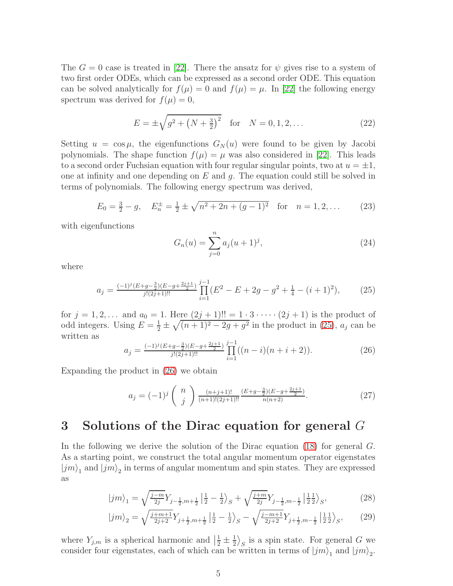The  $G = 0$  case is treated in [\[22\]](#page-18-5). There the ansatz for  $\psi$  gives rise to a system of two first order ODEs, which can be expressed as a second order ODE. This equation can be solved analytically for  $f(\mu) = 0$  and  $f(\mu) = \mu$ . In [\[22\]](#page-18-5) the following energy spectrum was derived for  $f(\mu) = 0$ ,

<span id="page-5-1"></span><span id="page-5-0"></span>
$$
E = \pm \sqrt{g^2 + (N + \frac{3}{2})^2} \quad \text{for} \quad N = 0, 1, 2, \dots \tag{22}
$$

Setting  $u = \cos \mu$ , the eigenfunctions  $G_N(u)$  were found to be given by Jacobi polynomials. The shape function  $f(\mu) = \mu$  was also considered in [\[22\]](#page-18-5). This leads to a second order Fuchsian equation with four regular singular points, two at  $u = \pm 1$ , one at infinity and one depending on  $E$  and  $q$ . The equation could still be solved in terms of polynomials. The following energy spectrum was derived,

$$
E_0 = \frac{3}{2} - g, \quad E_n^{\pm} = \frac{1}{2} \pm \sqrt{n^2 + 2n + (g - 1)^2} \quad \text{for} \quad n = 1, 2, \dots \tag{23}
$$

with eigenfunctions

$$
G_n(u) = \sum_{j=0}^n a_j (u+1)^j,
$$
\n(24)

where

$$
a_j = \frac{(-1)^j (E + g - \frac{3}{2})(E - g + \frac{2j+1}{2})}{j!(2j+1)!!} \prod_{i=1}^{j-1} (E^2 - E + 2g - g^2 + \frac{1}{4} - (i+1)^2), \tag{25}
$$

for  $j = 1, 2, ...$  and  $a_0 = 1$ . Here  $(2j + 1)!! = 1 \cdot 3 \cdot \cdot \cdot (2j + 1)$  is the product of odd integers. Using  $E = \frac{1}{2} \pm \sqrt{(n+1)^2 - 2g + g^2}$  in the product in [\(25\)](#page-4-1),  $a_j$  can be written as

$$
a_j = \frac{(-1)^j (E + g - \frac{3}{2})(E - g + \frac{2j+1}{2})}{j!(2j+1)!!} \prod_{i=1}^{j-1} ((n-i)(n+i+2)).
$$
 (26)

Expanding the product in [\(26\)](#page-4-2) we obtain

<span id="page-5-4"></span>
$$
a_j = (-1)^j \binom{n}{j} \frac{\binom{n+j+1}{(n+1)!(2j+1)!!} \frac{(E+g-\frac{3}{2})(E-g+\frac{2j+1}{2})}{n(n+2)}}{n(n+2)}.
$$
 (27)

## 3 Solutions of the Dirac equation for general G

<span id="page-5-3"></span>In the following we derive the solution of the Dirac equation [\(18\)](#page-3-3) for general G. As a starting point, we construct the total angular momentum operator eigenstates  $|jm\rangle_1$  and  $|jm\rangle_2$  in terms of angular momentum and spin states. They are expressed as

$$
|jm\rangle_1 = \sqrt{\frac{j-m}{2j}} Y_{j-\frac{1}{2},m+\frac{1}{2}} \left| \frac{1}{2} - \frac{1}{2} \right\rangle_S + \sqrt{\frac{j+m}{2j}} Y_{j-\frac{1}{2},m-\frac{1}{2}} \left| \frac{1}{2} \frac{1}{2} \right\rangle_S, \tag{28}
$$

<span id="page-5-2"></span>
$$
|jm\rangle_2 = \sqrt{\frac{j+m+1}{2j+2}} Y_{j+\frac{1}{2},m+\frac{1}{2}} \left| \frac{1}{2} - \frac{1}{2} \right\rangle_S - \sqrt{\frac{j-m+1}{2j+2}} Y_{j+\frac{1}{2},m-\frac{1}{2}} \left| \frac{1}{2} \frac{1}{2} \right\rangle_S, \tag{29}
$$

where  $Y_{j,m}$  is a spherical harmonic and  $\left|\frac{1}{2}\pm\frac{1}{2}\right|$  $\frac{1}{2}\rangle_{S}$  is a spin state. For general G we consider four eigenstates, each of which can be written in terms of  $|jm\rangle_1$  and  $|jm\rangle_2$ .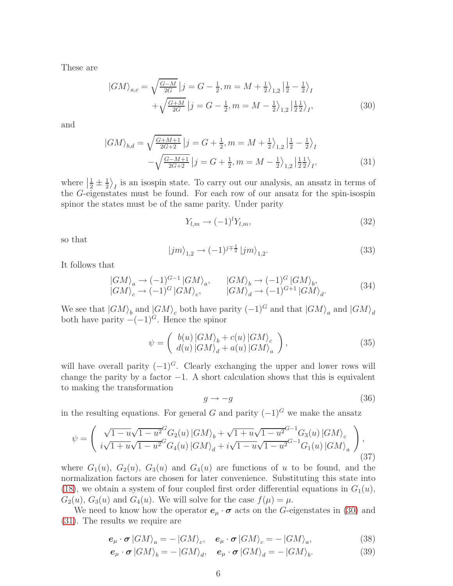These are

<span id="page-6-0"></span>
$$
|GM\rangle_{a,c} = \sqrt{\frac{G-M}{2G}} \left| j = G - \frac{1}{2}, m = M + \frac{1}{2} \right\rangle_{1,2} \left| \frac{1}{2} - \frac{1}{2} \right\rangle_{I}
$$
  
 
$$
+ \sqrt{\frac{G+M}{2G}} \left| j = G - \frac{1}{2}, m = M - \frac{1}{2} \right\rangle_{1,2} \left| \frac{1}{2} \frac{1}{2} \right\rangle_{I}, \tag{30}
$$

and

<span id="page-6-1"></span>
$$
|GM\rangle_{b,d} = \sqrt{\frac{G+M+1}{2G+2}} \left| j = G + \frac{1}{2}, m = M + \frac{1}{2} \right\rangle_{1,2} \left| \frac{1}{2} - \frac{1}{2} \right\rangle_I
$$
  

$$
-\sqrt{\frac{G-M+1}{2G+2}} \left| j = G + \frac{1}{2}, m = M - \frac{1}{2} \right\rangle_{1,2} \left| \frac{1}{2} \frac{1}{2} \right\rangle_I,
$$
 (31)

where  $\frac{1}{2} \pm \frac{1}{2}$  $\frac{1}{2}$ , is an isospin state. To carry out our analysis, an ansatz in terms of the G-eigenstates must be found. For each row of our ansatz for the spin-isospin spinor the states must be of the same parity. Under parity

$$
Y_{l,m} \to (-1)^l Y_{l,m},\tag{32}
$$

so that

$$
|jm\rangle_{1,2} \to (-1)^{j\mp\frac{1}{2}} |jm\rangle_{1,2}.
$$
 (33)

It follows that

$$
\begin{array}{lll}\n\left|GM\right\rangle_a \to (-1)^{G-1} \left|GM\right\rangle_a, & \left|GM\right\rangle_b \to (-1)^G \left|GM\right\rangle_b, \\
\left|GM\right\rangle_c \to (-1)^G \left|GM\right\rangle_c, & \left|GM\right\rangle_d \to (-1)^{G+1} \left|GM\right\rangle_d.\n\end{array} \tag{34}
$$

We see that  $|GM\rangle_b$  and  $|GM\rangle_c$  both have parity  $(-1)^G$  and that  $|GM\rangle_a$  and  $|GM\rangle_d$ both have parity  $-(-1)^{G}$ . Hence the spinor

$$
\psi = \left( \begin{array}{c} b(u) \left| GM \right\rangle_b + c(u) \left| GM \right\rangle_c \\ d(u) \left| GM \right\rangle_d + a(u) \left| GM \right\rangle_a \end{array} \right), \tag{35}
$$

will have overall parity  $(-1)^{G}$ . Clearly exchanging the upper and lower rows will change the parity by a factor  $-1$ . A short calculation shows that this is equivalent to making the transformation

$$
g \to -g \tag{36}
$$

in the resulting equations. For general G and parity  $(-1)^G$  we make the ansatz

$$
\psi = \left( \begin{array}{c} \sqrt{1 - u} \sqrt{1 - u^2} G_2(u) |GM\rangle_b + \sqrt{1 + u} \sqrt{1 - u^2} G_3(u) |GM\rangle_c \\ i \sqrt{1 + u} \sqrt{1 - u^2} G_4(u) |GM\rangle_d + i \sqrt{1 - u} \sqrt{1 - u^2} G_1(u) |GM\rangle_a \end{array} \right), \tag{37}
$$

<span id="page-6-2"></span>where  $G_1(u)$ ,  $G_2(u)$ ,  $G_3(u)$  and  $G_4(u)$  are functions of u to be found, and the normalization factors are chosen for later convenience. Substituting this state into [\(18\)](#page-3-3), we obtain a system of four coupled first order differential equations in  $G_1(u)$ ,  $G_2(u)$ ,  $G_3(u)$  and  $G_4(u)$ . We will solve for the case  $f(\mu) = \mu$ .

We need to know how the operator  $e_{\mu} \cdot \sigma$  acts on the G-eigenstates in [\(30\)](#page-5-0) and [\(31\)](#page-5-1). The results we require are

$$
\mathbf{e}_{\mu} \cdot \boldsymbol{\sigma} \left| GM \right\rangle_{a} = - \left| GM \right\rangle_{c}, \quad \mathbf{e}_{\mu} \cdot \boldsymbol{\sigma} \left| GM \right\rangle_{c} = - \left| GM \right\rangle_{a}, \tag{38}
$$

$$
\mathbf{e}_{\mu} \cdot \boldsymbol{\sigma} \left| GM \right\rangle_{b} = - \left| GM \right\rangle_{d}, \quad \mathbf{e}_{\mu} \cdot \boldsymbol{\sigma} \left| GM \right\rangle_{d} = - \left| GM \right\rangle_{b}. \tag{39}
$$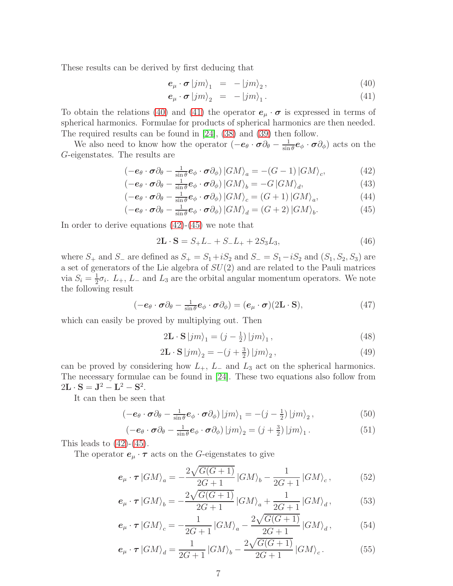These results can be derived by first deducing that

$$
\mathbf{e}_{\mu} \cdot \boldsymbol{\sigma} \left| jm \right\rangle_{1} = - \left| jm \right\rangle_{2}, \tag{40}
$$

$$
\mathbf{e}_{\mu} \cdot \boldsymbol{\sigma} \left| jm \right\rangle_{2} = -\left| jm \right\rangle_{1}.
$$
 (41)

To obtain the relations [\(40\)](#page-6-0) and [\(41\)](#page-6-0) the operator  $e_{\mu} \cdot \sigma$  is expressed in terms of spherical harmonics. Formulae for products of spherical harmonics are then needed. The required results can be found in [\[24\]](#page-18-7), [\(38\)](#page-5-2) and [\(39\)](#page-5-2) then follow.

<span id="page-7-0"></span>We also need to know how the operator  $(-e_{\theta} \cdot \sigma \partial_{\theta} - \frac{1}{\sin \theta})$  $\frac{1}{\sin \theta}$  $\boldsymbol{e}_{\phi} \cdot \boldsymbol{\sigma} \partial_{\phi}$ ) acts on the G-eigenstates. The results are

$$
\left(-\boldsymbol{e}_{\theta}\cdot\boldsymbol{\sigma}\partial_{\theta}-\frac{1}{\sin\theta}\boldsymbol{e}_{\phi}\cdot\boldsymbol{\sigma}\partial_{\phi}\right)\left|GM\right\rangle_{a}=-\left(G-1\right)\left|GM\right\rangle_{c},\tag{42}
$$

$$
\left(-\mathbf{e}_{\theta}\cdot\boldsymbol{\sigma}\partial_{\theta}-\frac{1}{\sin\theta}\mathbf{e}_{\phi}\cdot\boldsymbol{\sigma}\partial_{\phi}\right)|GM\rangle_{b}=-G|GM\rangle_{d},\tag{43}
$$

$$
\left(-\mathbf{e}_{\theta}\cdot\boldsymbol{\sigma}\partial_{\theta}-\frac{1}{\sin\theta}\mathbf{e}_{\phi}\cdot\boldsymbol{\sigma}\partial_{\phi}\right)|GM\rangle_{c}=\left(G+1\right)|GM\rangle_{a},\tag{44}
$$

$$
\left(-\mathbf{e}_{\theta}\cdot\boldsymbol{\sigma}\partial_{\theta}-\frac{1}{\sin\theta}\mathbf{e}_{\phi}\cdot\boldsymbol{\sigma}\partial_{\phi}\right)|GM\rangle_{d}=\left(G+2\right)|GM\rangle_{b}.\tag{45}
$$

In order to derive equations  $(42)-(45)$  $(42)-(45)$  we note that

$$
2L \cdot S = S_+ L_- + S_- L_+ + 2S_3 L_3,\tag{46}
$$

where  $S_+$  and  $S_-$  are defined as  $S_+ = S_1 + iS_2$  and  $S_- = S_1 - iS_2$  and  $(S_1, S_2, S_3)$  are a set of generators of the Lie algebra of  $SU(2)$  and are related to the Pauli matrices via  $S_i = \frac{1}{2}$  $\frac{1}{2}\sigma_i$ .  $L_+$ ,  $L_-$  and  $L_3$  are the orbital angular momentum operators. We note the following result

$$
(-\boldsymbol{e}_{\theta} \cdot \boldsymbol{\sigma} \partial_{\theta} - \frac{1}{\sin \theta} \boldsymbol{e}_{\phi} \cdot \boldsymbol{\sigma} \partial_{\phi}) = (\boldsymbol{e}_{\mu} \cdot \boldsymbol{\sigma})(2\mathbf{L} \cdot \mathbf{S}), \qquad (47)
$$

which can easily be proved by multiplying out. Then

$$
2\mathbf{L} \cdot \mathbf{S} \left| jm \right\rangle_1 = (j - \frac{1}{2}) \left| jm \right\rangle_1,\tag{48}
$$

$$
2\mathbf{L} \cdot \mathbf{S} \left| jm \right\rangle_2 = -(j + \frac{3}{2}) \left| jm \right\rangle_2,\tag{49}
$$

can be proved by considering how  $L_+$ ,  $L_-$  and  $L_3$  act on the spherical harmonics. The necessary formulae can be found in [\[24\]](#page-18-7). These two equations also follow from  $2L \cdot S = J^2 - L^2 - S^2.$ 

<span id="page-7-1"></span>It can then be seen that

$$
\left(-\mathbf{e}_{\theta}\cdot\boldsymbol{\sigma}\partial_{\theta}-\frac{1}{\sin\theta}\mathbf{e}_{\phi}\cdot\boldsymbol{\sigma}\partial_{\phi}\right)|jm\rangle_{1}=-\left(j-\frac{1}{2}\right)|jm\rangle_{2},\qquad(50)
$$

$$
\left(-\boldsymbol{e}_{\theta}\cdot\boldsymbol{\sigma}\partial_{\theta}-\frac{1}{\sin\theta}\boldsymbol{e}_{\phi}\cdot\boldsymbol{\sigma}\partial_{\phi}\right)|j\boldsymbol{m}\rangle_{2}=(j+\frac{3}{2})\left|j\boldsymbol{m}\right\rangle_{1}.
$$
\n(51)

This leads to  $(42)-(45)$  $(42)-(45)$ .

The operator  $e_{\mu} \cdot \tau$  acts on the G-eigenstates to give

$$
\mathbf{e}_{\mu} \cdot \boldsymbol{\tau} \left| GM \right\rangle_a = -\frac{2\sqrt{G(G+1)}}{2G+1} \left| GM \right\rangle_b - \frac{1}{2G+1} \left| GM \right\rangle_c, \tag{52}
$$

$$
e_{\mu} \cdot \tau \left| GM \right\rangle_b = -\frac{2\sqrt{G(G+1)}}{2G+1} \left| GM \right\rangle_a + \frac{1}{2G+1} \left| GM \right\rangle_d, \tag{53}
$$

$$
\mathbf{e}_{\mu} \cdot \boldsymbol{\tau} \left| GM \right\rangle_{c} = -\frac{1}{2G+1} \left| GM \right\rangle_{a} - \frac{2\sqrt{G(G+1)}}{2G+1} \left| GM \right\rangle_{d},\tag{54}
$$

$$
\mathbf{e}_{\mu} \cdot \boldsymbol{\tau} \left| GM \right\rangle_{d} = \frac{1}{2G+1} \left| GM \right\rangle_{b} - \frac{2\sqrt{G(G+1)}}{2G+1} \left| GM \right\rangle_{c}.
$$
 (55)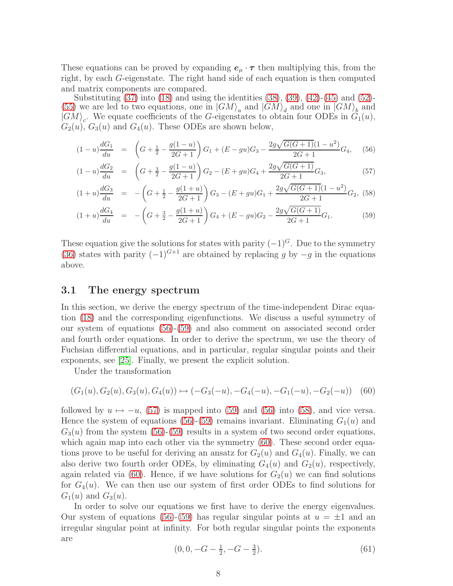These equations can be proved by expanding  $e_{\mu} \cdot \tau$  then multiplying this, from the right, by each G-eigenstate. The right hand side of each equation is then computed and matrix components are compared.

Substituting  $(37)$  into  $(18)$  and using the identities  $(38)$ ,  $(39)$ ,  $(42)$ - $(45)$  and  $(52)$ -[\(55\)](#page-6-2) we are led to two equations, one in  $|GM\rangle_a$  and  $|GM\rangle_d$  and one in  $|GM\rangle_b$  and  $|GM\rangle_c$ . We equate coefficients of the G-eigenstates to obtain four ODEs in  $G_1(u)$ ,  $G_2(u)$ ,  $G_3(u)$  and  $G_4(u)$ . These ODEs are shown below,

$$
(1-u)\frac{dG_1}{du} = \left(G + \frac{1}{2} - \frac{g(1-u)}{2G+1}\right)G_1 + (E - gu)G_3 - \frac{2g\sqrt{G(G+1)}(1-u^2)}{2G+1}G_4,\tag{56}
$$

$$
(1-u)\frac{dG_2}{du} = \left(G + \frac{3}{2} - \frac{g(1-u)}{2G+1}\right)G_2 - (E+gu)G_4 + \frac{2g\sqrt{G(G+1)}}{2G+1}G_3,\tag{57}
$$

$$
(1+u)\frac{dG_3}{du} = -\left(G + \frac{1}{2} - \frac{g(1+u)}{2G+1}\right)G_3 - (E+gu)G_1 + \frac{2g\sqrt{G(G+1)}(1-u^2)}{2G+1}G_2,\tag{58}
$$

$$
(1+u)\frac{dG_4}{du} = -\left(G + \frac{3}{2} - \frac{g(1+u)}{2G+1}\right)G_4 + (E - gu)G_2 - \frac{2g\sqrt{G(G+1)}}{2G+1}G_1.
$$
 (59)

These equation give the solutions for states with parity  $(-1)^{G}$ . Due to the symmetry [\(36\)](#page-5-4) states with parity  $(-1)^{G+1}$  are obtained by replacing q by  $-q$  in the equations above.

#### 3.1 The energy spectrum

<span id="page-8-0"></span>In this section, we derive the energy spectrum of the time-independent Dirac equation [\(18\)](#page-3-3) and the corresponding eigenfunctions. We discuss a useful symmetry of our system of equations [\(56\)](#page-7-0)-[\(59\)](#page-7-0) and also comment on associated second order and fourth order equations. In order to derive the spectrum, we use the theory of Fuchsian differential equations, and in particular, regular singular points and their exponents, see [\[25\]](#page-18-8). Finally, we present the explicit solution.

Under the transformation

$$
(G_1(u), G_2(u), G_3(u), G_4(u)) \mapsto (-G_3(-u), -G_4(-u), -G_1(-u), -G_2(-u)) \quad (60)
$$

followed by  $u \mapsto -u$ , [\(57\)](#page-7-0) is mapped into [\(59\)](#page-7-0) and [\(56\)](#page-7-0) into [\(58\)](#page-7-0), and vice versa. Hence the system of equations [\(56\)](#page-7-0)-[\(59\)](#page-7-0) remains invariant. Eliminating  $G_1(u)$  and  $G_3(u)$  from the system [\(56\)](#page-7-0)-[\(59\)](#page-7-0) results in a system of two second order equations, which again map into each other via the symmetry  $(60)$ . These second order equations prove to be useful for deriving an ansatz for  $G_2(u)$  and  $G_4(u)$ . Finally, we can also derive two fourth order ODEs, by eliminating  $G_4(u)$  and  $G_2(u)$ , respectively, again related via [\(60\)](#page-7-1). Hence, if we have solutions for  $G_2(u)$  we can find solutions for  $G_4(u)$ . We can then use our system of first order ODEs to find solutions for  $G_1(u)$  and  $G_3(u)$ .

In order to solve our equations we first have to derive the energy eigenvalues. Our system of equations [\(56\)](#page-7-0)-[\(59\)](#page-7-0) has regular singular points at  $u = \pm 1$  and an irregular singular point at infinity. For both regular singular points the exponents are

<span id="page-8-1"></span>
$$
(0, 0, -G - \frac{1}{2}, -G - \frac{3}{2}).
$$
\n<sup>(61)</sup>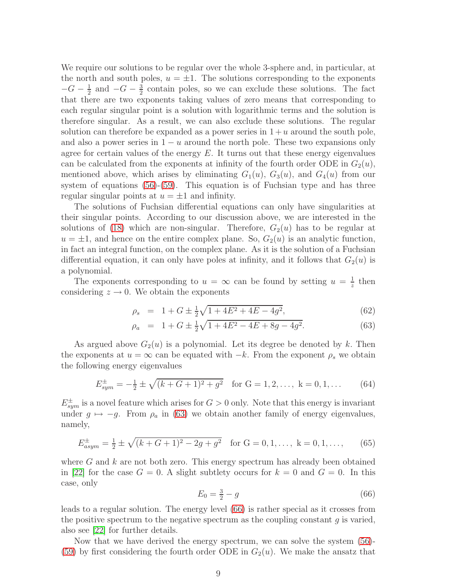We require our solutions to be regular over the whole 3-sphere and, in particular, at the north and south poles,  $u = \pm 1$ . The solutions corresponding to the exponents  $-G-\frac{1}{2}$  $\frac{1}{2}$  and  $-G - \frac{3}{2}$  $\frac{3}{2}$  contain poles, so we can exclude these solutions. The fact that there are two exponents taking values of zero means that corresponding to each regular singular point is a solution with logarithmic terms and the solution is therefore singular. As a result, we can also exclude these solutions. The regular solution can therefore be expanded as a power series in  $1 + u$  around the south pole, and also a power series in  $1 - u$  around the north pole. These two expansions only agree for certain values of the energy  $E$ . It turns out that these energy eigenvalues can be calculated from the exponents at infinity of the fourth order ODE in  $G_2(u)$ , mentioned above, which arises by eliminating  $G_1(u)$ ,  $G_3(u)$ , and  $G_4(u)$  from our system of equations [\(56\)](#page-7-0)-[\(59\)](#page-7-0). This equation is of Fuchsian type and has three regular singular points at  $u = \pm 1$  and infinity.

The solutions of Fuchsian differential equations can only have singularities at their singular points. According to our discussion above, we are interested in the solutions of [\(18\)](#page-3-3) which are non-singular. Therefore,  $G_2(u)$  has to be regular at  $u = \pm 1$ , and hence on the entire complex plane. So,  $G_2(u)$  is an analytic function, in fact an integral function, on the complex plane. As it is the solution of a Fuchsian differential equation, it can only have poles at infinity, and it follows that  $G_2(u)$  is a polynomial.

The exponents corresponding to  $u = \infty$  can be found by setting  $u = \frac{1}{z}$  $\frac{1}{z}$  then considering  $z \to 0$ . We obtain the exponents

$$
\rho_s = 1 + G \pm \frac{1}{2}\sqrt{1 + 4E^2 + 4E - 4g^2},\tag{62}
$$

$$
\rho_a = 1 + G \pm \frac{1}{2}\sqrt{1 + 4E^2 - 4E + 8g - 4g^2}.
$$
\n(63)

As argued above  $G_2(u)$  is a polynomial. Let its degree be denoted by k. Then the exponents at  $u = \infty$  can be equated with  $-k$ . From the exponent  $\rho_s$  we obtain the following energy eigenvalues

$$
E_{sym}^{\pm} = -\frac{1}{2} \pm \sqrt{(k+G+1)^2 + g^2} \quad \text{for } G = 1, 2, ..., \ k = 0, 1, ... \tag{64}
$$

<span id="page-9-0"></span> $E_{sym}^{\pm}$  is a novel feature which arises for  $G > 0$  only. Note that this energy is invariant under  $g \mapsto -g$ . From  $\rho_a$  in [\(63\)](#page-8-0) we obtain another family of energy eigenvalues, namely,

$$
E_{asym}^{\pm} = \frac{1}{2} \pm \sqrt{(k+G+1)^2 - 2g + g^2} \quad \text{for } G = 0, 1, ..., \ k = 0, 1, ..., \tag{65}
$$

where  $G$  and  $k$  are not both zero. This energy spectrum has already been obtained in [\[22\]](#page-18-5) for the case  $G = 0$ . A slight subtlety occurs for  $k = 0$  and  $G = 0$ . In this case, only

$$
E_0 = \frac{3}{2} - g \tag{66}
$$

leads to a regular solution. The energy level [\(66\)](#page-8-1) is rather special as it crosses from the positive spectrum to the negative spectrum as the coupling constant  $q$  is varied, also see [\[22\]](#page-18-5) for further details.

Now that we have derived the energy spectrum, we can solve the system [\(56\)](#page-7-0)- [\(59\)](#page-7-0) by first considering the fourth order ODE in  $G_2(u)$ . We make the ansatz that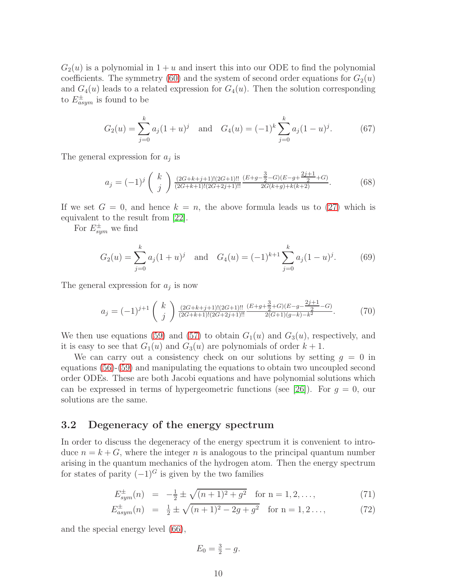$G_2(u)$  is a polynomial in  $1+u$  and insert this into our ODE to find the polynomial coefficients. The symmetry [\(60\)](#page-7-1) and the system of second order equations for  $G_2(u)$ and  $G_4(u)$  leads to a related expression for  $G_4(u)$ . Then the solution corresponding to  $E_{asym}^{\pm}$  is found to be

$$
G_2(u) = \sum_{j=0}^{k} a_j (1+u)^j \quad \text{and} \quad G_4(u) = (-1)^k \sum_{j=0}^{k} a_j (1-u)^j. \tag{67}
$$

The general expression for  $a_j$  is

$$
a_j = (-1)^j \begin{pmatrix} k \\ j \end{pmatrix} \frac{(2G+k+j+1)!(2G+1)!!}{(2G+k+1)!(2G+2j+1)!!} \frac{(E+g-\frac{3}{2}-G)(E-g+\frac{2j+1}{2}+G)}{2G(k+g)+k(k+2)}.
$$
 (68)

If we set  $G = 0$ , and hence  $k = n$ , the above formula leads us to [\(27\)](#page-4-3) which is equivalent to the result from [\[22\]](#page-18-5).

For  $E_{sym}^{\pm}$  we find

$$
G_2(u) = \sum_{j=0}^{k} a_j (1+u)^j \quad \text{and} \quad G_4(u) = (-1)^{k+1} \sum_{j=0}^{k} a_j (1-u)^j. \tag{69}
$$

The general expression for  $a_j$  is now

$$
a_j = (-1)^{j+1} \begin{pmatrix} k \\ j \end{pmatrix} \frac{(2G+k+j+1)!(2G+1)!!}{(2G+k+1)!(2G+2j+1)!!} \frac{(E+g+\frac{3}{2}+G)(E-g-\frac{2j+1}{2}-G)}{2(G+1)(g-k)-k^2}.
$$
 (70)

We then use equations [\(59\)](#page-7-0) and [\(57\)](#page-7-0) to obtain  $G_1(u)$  and  $G_3(u)$ , respectively, and it is easy to see that  $G_1(u)$  and  $G_3(u)$  are polynomials of order  $k+1$ .

We can carry out a consistency check on our solutions by setting  $g = 0$  in equations [\(56\)](#page-7-0)-[\(59\)](#page-7-0) and manipulating the equations to obtain two uncoupled second order ODEs. These are both Jacobi equations and have polynomial solutions which can be expressed in terms of hypergeometric functions (see [\[26\]](#page-18-9)). For  $g = 0$ , our solutions are the same.

#### <span id="page-10-0"></span>3.2 Degeneracy of the energy spectrum

In order to discuss the degeneracy of the energy spectrum it is convenient to introduce  $n = k + G$ , where the integer n is analogous to the principal quantum number arising in the quantum mechanics of the hydrogen atom. Then the energy spectrum for states of parity  $(-1)^{G}$  is given by the two families

$$
E_{sym}^{\pm}(n) = -\frac{1}{2} \pm \sqrt{(n+1)^2 + g^2} \quad \text{for } n = 1, 2, ..., \tag{71}
$$

$$
E_{asym}^{\pm}(n) = \frac{1}{2} \pm \sqrt{(n+1)^2 - 2g + g^2} \quad \text{for } n = 1, 2... \tag{72}
$$

and the special energy level [\(66\)](#page-8-1),

$$
E_0 = \frac{3}{2} - g.
$$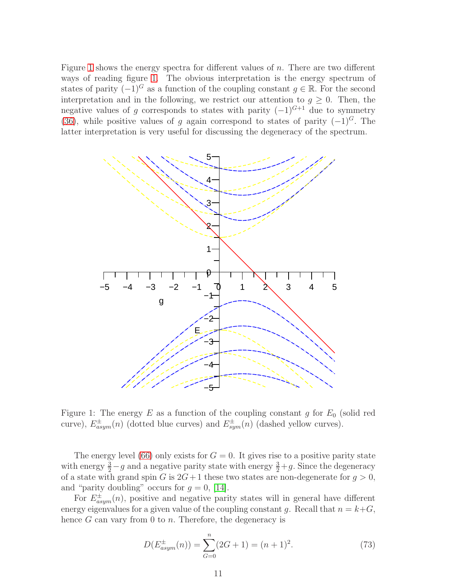Figure [1](#page-10-0) shows the energy spectra for different values of  $n$ . There are two different ways of reading figure [1.](#page-10-0) The obvious interpretation is the energy spectrum of states of parity  $(-1)^{G}$  as a function of the coupling constant  $g \in \mathbb{R}$ . For the second interpretation and in the following, we restrict our attention to  $q \geq 0$ . Then, the negative values of g corresponds to states with parity  $(-1)^{G+1}$  due to symmetry [\(36\)](#page-5-4), while positive values of g again correspond to states of parity  $(-1)^G$ . The latter interpretation is very useful for discussing the degeneracy of the spectrum.



<span id="page-11-1"></span><span id="page-11-0"></span>Figure 1: The energy E as a function of the coupling constant g for  $E_0$  (solid red curve),  $E^{\pm}_{asym}(n)$  (dotted blue curves) and  $E^{\pm}_{sym}(n)$  (dashed yellow curves).

The energy level [\(66\)](#page-8-1) only exists for  $G = 0$ . It gives rise to a positive parity state with energy  $\frac{3}{2} - g$  and a negative parity state with energy  $\frac{3}{2} + g$ . Since the degeneracy of a state with grand spin G is  $2G+1$  these two states are non-degenerate for  $g > 0$ , and "parity doubling" occurs for  $g = 0$ , [\[14\]](#page-17-13).

For  $E_{asym}^{\pm}(n)$ , positive and negative parity states will in general have different energy eigenvalues for a given value of the coupling constant q. Recall that  $n = k + G$ , hence  $G$  can vary from 0 to  $n$ . Therefore, the degeneracy is

$$
D(E_{asym}^{\pm}(n)) = \sum_{G=0}^{n} (2G+1) = (n+1)^2.
$$
 (73)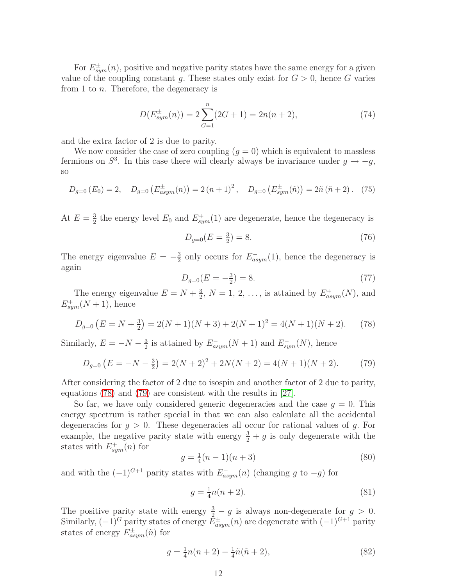For  $E^{\pm}_{sym}(n)$ , positive and negative parity states have the same energy for a given value of the coupling constant g. These states only exist for  $G > 0$ , hence G varies from 1 to n. Therefore, the degeneracy is

$$
D(E_{sym}^{\pm}(n)) = 2\sum_{G=1}^{n} (2G+1) = 2n(n+2),
$$
\n(74)

<span id="page-12-0"></span>and the extra factor of 2 is due to parity.

We now consider the case of zero coupling  $(q = 0)$  which is equivalent to massless fermions on  $S^3$ . In this case there will clearly always be invariance under  $g \to -g$ , so

$$
D_{g=0}(E_0) = 2, \quad D_{g=0}\left(E_{asym}^{\pm}(n)\right) = 2\left(n+1\right)^2, \quad D_{g=0}\left(E_{sym}^{\pm}(\tilde{n})\right) = 2\tilde{n}\left(\tilde{n}+2\right). \tag{75}
$$

At  $E=\frac{3}{2}$  $\frac{3}{2}$  the energy level  $E_0$  and  $E_{sym}^+(1)$  are degenerate, hence the degeneracy is

<span id="page-12-1"></span>
$$
D_{g=0}(E = \frac{3}{2}) = 8.\t(76)
$$

The energy eigenvalue  $E = -\frac{3}{2}$  $\frac{3}{2}$  only occurs for  $E^{-}_{asym}(1)$ , hence the degeneracy is again

<span id="page-12-2"></span>
$$
D_{g=0}(E = -\frac{3}{2}) = 8.\t(77)
$$

The energy eigenvalue  $E = N + \frac{3}{2}$  $\frac{3}{2}$ ,  $N = 1, 2, \ldots$ , is attained by  $E^+_{asym}(N)$ , and  $E^{+}_{sym}(N+1)$ , hence

$$
D_{g=0}(E=N+\frac{3}{2})=2(N+1)(N+3)+2(N+1)^2=4(N+1)(N+2). \tag{78}
$$

Similarly,  $E = -N - \frac{3}{2}$  $\frac{3}{2}$  is attained by  $E^{-}_{asym}(N+1)$  and  $E^{-}_{sym}(N)$ , hence

$$
D_{g=0}(E=-N-\frac{3}{2})=2(N+2)^2+2N(N+2)=4(N+1)(N+2). \tag{79}
$$

After considering the factor of 2 due to isospin and another factor of 2 due to parity, equations [\(78\)](#page-11-0) and [\(79\)](#page-11-1) are consistent with the results in [\[27\]](#page-18-10).

So far, we have only considered generic degeneracies and the case  $g = 0$ . This energy spectrum is rather special in that we can also calculate all the accidental degeneracies for  $g > 0$ . These degeneracies all occur for rational values of g. For example, the negative parity state with energy  $\frac{3}{2} + g$  is only degenerate with the states with  $E^{+}_{sym}(n)$  for

<span id="page-12-4"></span>
$$
g = \frac{1}{4}(n-1)(n+3)
$$
\n(80)

and with the  $(-1)^{G+1}$  parity states with  $E_{asym}^-(n)$  (changing g to  $-g$ ) for

<span id="page-12-3"></span>
$$
g = \frac{1}{4}n(n+2).
$$
 (81)

The positive parity state with energy  $\frac{3}{2} - g$  is always non-degenerate for  $g > 0$ . Similarly,  $(-1)^G$  parity states of energy  $\bar{E}_{asym}^{\pm}(n)$  are degenerate with  $(-1)^{G+1}$  parity states of energy  $E_{asym}^{\pm}(\tilde{n})$  for

<span id="page-12-5"></span>
$$
g = \frac{1}{4}n(n+2) - \frac{1}{4}\tilde{n}(\tilde{n}+2),
$$
\n(82)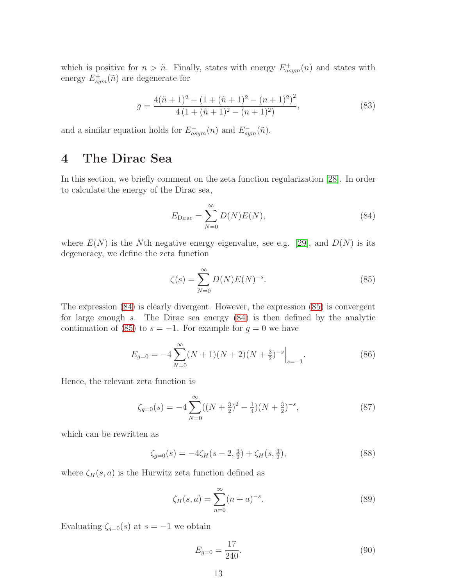which is positive for  $n > \tilde{n}$ . Finally, states with energy  $E_{asym}^+(n)$  and states with energy  $E_{sym}^+(\tilde{n})$  are degenerate for

$$
g = \frac{4(\tilde{n}+1)^2 - (1+(\tilde{n}+1)^2 - (n+1)^2)^2}{4(1+(\tilde{n}+1)^2 - (n+1)^2)},
$$
\n(83)

<span id="page-13-3"></span>and a similar equation holds for  $E_{asym}^-(n)$  and  $E_{sym}^-(n)$ .

## 4 The Dirac Sea

In this section, we briefly comment on the zeta function regularization [\[28\]](#page-18-11). In order to calculate the energy of the Dirac sea,

<span id="page-13-0"></span>
$$
E_{\text{Dirac}} = \sum_{N=0}^{\infty} D(N)E(N), \tag{84}
$$

where  $E(N)$  is the Nth negative energy eigenvalue, see e.g. [\[29\]](#page-18-12), and  $D(N)$  is its degeneracy, we define the zeta function

<span id="page-13-1"></span>
$$
\zeta(s) = \sum_{N=0}^{\infty} D(N) E(N)^{-s}.
$$
 (85)

The expression [\(84\)](#page-12-1) is clearly divergent. However, the expression [\(85\)](#page-12-2) is convergent for large enough s. The Dirac sea energy [\(84\)](#page-12-1) is then defined by the analytic continuation of [\(85\)](#page-12-2) to  $s = -1$ . For example for  $g = 0$  we have

$$
E_{g=0} = -4\sum_{N=0}^{\infty} (N+1)(N+2)(N+\frac{3}{2})^{-s}\Big|_{s=-1}.
$$
\n(86)

Hence, the relevant zeta function is

$$
\zeta_{g=0}(s) = -4 \sum_{N=0}^{\infty} ((N + \frac{3}{2})^2 - \frac{1}{4})(N + \frac{3}{2})^{-s},\tag{87}
$$

which can be rewritten as

$$
\zeta_{g=0}(s) = -4\zeta_H(s-2, \frac{3}{2}) + \zeta_H(s, \frac{3}{2}),\tag{88}
$$

where  $\zeta_H(s, a)$  is the Hurwitz zeta function defined as

$$
\zeta_H(s, a) = \sum_{n=0}^{\infty} (n+a)^{-s}.
$$
 (89)

<span id="page-13-2"></span>Evaluating  $\zeta_{g=0}(s)$  at  $s = -1$  we obtain

$$
E_{g=0} = \frac{17}{240}.\tag{90}
$$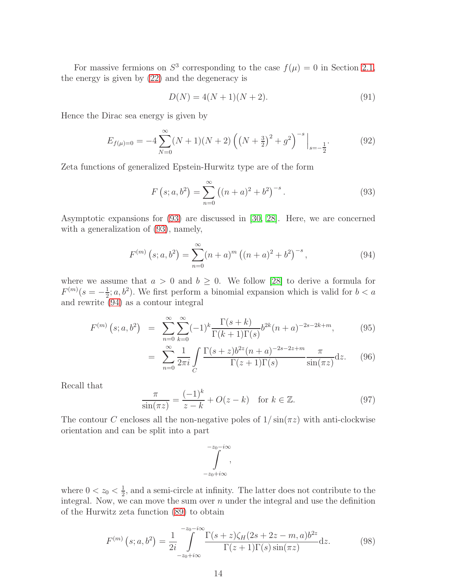For massive fermions on  $S^3$  corresponding to the case  $f(\mu) = 0$  in Section [2.1,](#page-3-0) the energy is given by [\(22\)](#page-4-4) and the degeneracy is

$$
D(N) = 4(N+1)(N+2).
$$
 (91)

Hence the Dirac sea energy is given by

$$
E_{f(\mu)=0} = -4 \sum_{N=0}^{\infty} (N+1)(N+2) \left( \left( N + \frac{3}{2} \right)^2 + g^2 \right)^{-s} \Big|_{s=-\frac{1}{2}}.
$$
 (92)

Zeta functions of generalized Epstein-Hurwitz type are of the form

$$
F(s; a, b^{2}) = \sum_{n=0}^{\infty} ((n+a)^{2} + b^{2})^{-s}.
$$
 (93)

Asymptotic expansions for [\(93\)](#page-13-0) are discussed in [\[30,](#page-18-13) [28\]](#page-18-11). Here, we are concerned with a generalization of [\(93\)](#page-13-0), namely,

$$
F^{(m)}\left(s;a,b^2\right) = \sum_{n=0}^{\infty} (n+a)^m \left( (n+a)^2 + b^2 \right)^{-s},\tag{94}
$$

where we assume that  $a > 0$  and  $b \geq 0$ . We follow [\[28\]](#page-18-11) to derive a formula for  $F^{(m)}(s=-\frac{1}{2})$  $\frac{1}{2}$ ; a, b<sup>2</sup>). We first perform a binomial expansion which is valid for  $b < a$ and rewrite [\(94\)](#page-13-1) as a contour integral

$$
F^{(m)}(s;a,b^2) = \sum_{n=0}^{\infty} \sum_{k=0}^{\infty} (-1)^k \frac{\Gamma(s+k)}{\Gamma(k+1)\Gamma(s)} b^{2k} (n+a)^{-2s-2k+m}, \tag{95}
$$

$$
= \sum_{n=0}^{\infty} \frac{1}{2\pi i} \int_{C} \frac{\Gamma(s+z)b^{2z}(n+a)^{-2s-2z+m}}{\Gamma(z+1)\Gamma(s)} \frac{\pi}{\sin(\pi z)} dz.
$$
 (96)

Recall that

$$
\frac{\pi}{\sin(\pi z)} = \frac{(-1)^k}{z - k} + O(z - k) \quad \text{for } k \in \mathbb{Z}.
$$
 (97)

The contour C encloses all the non-negative poles of  $1/\sin(\pi z)$  with anti-clockwise orientation and can be split into a part

$$
\int\limits_{-z_0+i\infty}^{-z_0-i\infty},
$$

where  $0 < z_0 < \frac{1}{2}$  $\frac{1}{2}$ , and a semi-circle at infinity. The latter does not contribute to the integral. Now, we can move the sum over  $n$  under the integral and use the definition of the Hurwitz zeta function [\(89\)](#page-12-3) to obtain

$$
F^{(m)}\left(s;a,b^2\right) = \frac{1}{2i} \int_{-z_0+i\infty}^{-z_0-i\infty} \frac{\Gamma(s+z)\zeta_H(2s+2z-m,a)b^{2z}}{\Gamma(z+1)\Gamma(s)\sin(\pi z)} \mathrm{d}z. \tag{98}
$$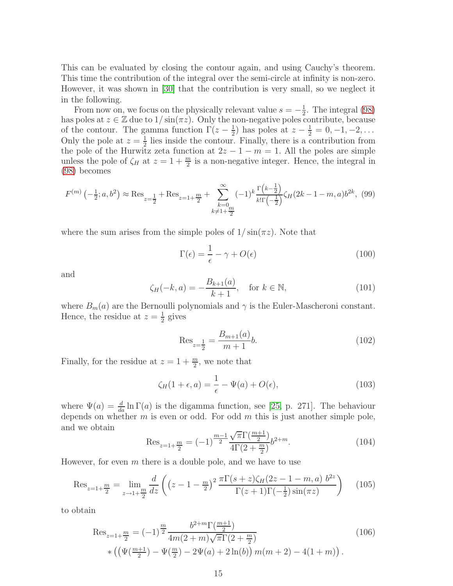This can be evaluated by closing the contour again, and using Cauchy's theorem. This time the contribution of the integral over the semi-circle at infinity is non-zero. However, it was shown in [\[30\]](#page-18-13) that the contribution is very small, so we neglect it in the following.

From now on, we focus on the physically relevant value  $s = -\frac{1}{2}$  $\frac{1}{2}$ . The integral [\(98\)](#page-13-2) has poles at  $z \in \mathbb{Z}$  due to  $1/\sin(\pi z)$ . Only the non-negative poles contribute, because of the contour. The gamma function  $\Gamma(z-\frac{1}{2})$  $(\frac{1}{2})$  has poles at  $z - \frac{1}{2} = 0, -1, -2, \ldots$ Only the pole at  $z=\frac{1}{2}$  $\frac{1}{2}$  lies inside the contour. Finally, there is a contribution from the pole of the Hurwitz zeta function at  $2z - 1 - m = 1$ . All the poles are simple unless the pole of  $\zeta_H$  at  $z = 1 + \frac{m}{2}$  is a non-negative integer. Hence, the integral in [\(98\)](#page-13-2) becomes

$$
F^{(m)}\left(-\frac{1}{2};a,b^2\right) \approx \text{Res}_{z=\frac{1}{2}} + \text{Res}_{z=1+\frac{m}{2}} + \sum_{\substack{k=0\\k\neq 1+\frac{m}{2}}}^{\infty} (-1)^k \frac{\Gamma\left(k-\frac{1}{2}\right)}{k!\Gamma\left(-\frac{1}{2}\right)} \zeta_H(2k-1-m,a)b^{2k},\tag{99}
$$

where the sum arises from the simple poles of  $1/\sin(\pi z)$ . Note that

$$
\Gamma(\epsilon) = \frac{1}{\epsilon} - \gamma + O(\epsilon)
$$
\n(100)

and

$$
\zeta_H(-k, a) = -\frac{B_{k+1}(a)}{k+1}, \quad \text{for } k \in \mathbb{N},
$$
\n(101)

where  $B_m(a)$  are the Bernoulli polynomials and  $\gamma$  is the Euler-Mascheroni constant. Hence, the residue at  $z=\frac{1}{2}$  $\frac{1}{2}$  gives

$$
\text{Res}_{z=\frac{1}{2}} = \frac{B_{m+1}(a)}{m+1}b.\tag{102}
$$

Finally, for the residue at  $z = 1 + \frac{m}{2}$ , we note that

$$
\zeta_H(1+\epsilon, a) = \frac{1}{\epsilon} - \Psi(a) + O(\epsilon),\tag{103}
$$

where  $\Psi(a) = \frac{d}{da} \ln \Gamma(a)$  is the digamma function, see [\[25,](#page-18-8) p. 271]. The behaviour depends on whether  $m$  is even or odd. For odd  $m$  this is just another simple pole, and we obtain

<span id="page-15-0"></span>
$$
\text{Res}_{z=1+\frac{m}{2}} = (-1)^{\frac{m-1}{2}} \frac{\sqrt{\pi} \Gamma(\frac{m+1}{2})}{4\Gamma(2+\frac{m}{2})} b^{2+m}.
$$
 (104)

However, for even  $m$  there is a double pole, and we have to use

<span id="page-15-1"></span>
$$
\text{Res}_{z=1+\frac{m}{2}} = \lim_{z \to 1+\frac{m}{2}} \frac{d}{dz} \left( \left( z - 1 - \frac{m}{2} \right)^2 \frac{\pi \Gamma(s+z) \zeta_H(2z - 1 - m, a) b^{2z}}{\Gamma(z+1) \Gamma(-\frac{1}{2}) \sin(\pi z)} \right) \tag{105}
$$

to obtain

$$
\operatorname{Res}_{z=1+\frac{m}{2}} = (-1)^{\frac{m}{2}} \frac{b^{2+m} \Gamma(\frac{m+1}{2})}{4m(2+m)\sqrt{\pi} \Gamma(2+\frac{m}{2})} \qquad (106)
$$
  
 
$$
\ast \left( \left( \Psi(\frac{m+1}{2}) - \Psi(\frac{m}{2}) - 2\Psi(a) + 2\ln(b) \right) m(m+2) - 4(1+m) \right).
$$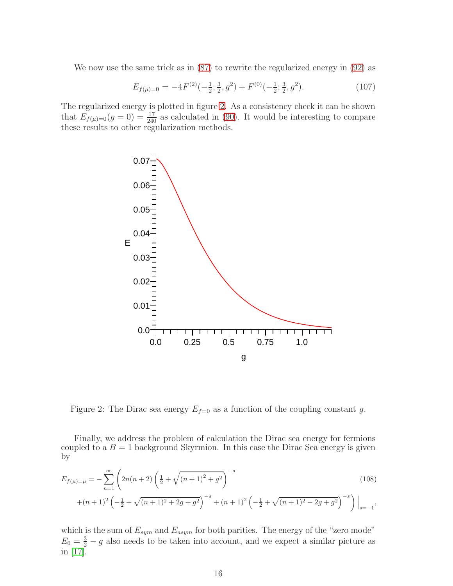We now use the same trick as in [\(87\)](#page-12-4) to rewrite the regularized energy in [\(92\)](#page-13-3) as

$$
E_{f(\mu)=0} = -4F^{(2)}(-\frac{1}{2}; \frac{3}{2}, g^2) + F^{(0)}(-\frac{1}{2}; \frac{3}{2}, g^2). \tag{107}
$$

The regularized energy is plotted in figure [2.](#page-15-0) As a consistency check it can be shown that  $E_{f(\mu)=0}(g=0) = \frac{17}{240}$  as calculated in [\(90\)](#page-12-5). It would be interesting to compare these results to other regularization methods.



Figure 2: The Dirac sea energy  $E_{f=0}$  as a function of the coupling constant g.

Finally, we address the problem of calculation the Dirac sea energy for fermions coupled to a  $B = 1$  background Skyrmion. In this case the Dirac Sea energy is given by

$$
E_{f(\mu)=\mu} = -\sum_{n=1}^{\infty} \left( 2n(n+2) \left( \frac{1}{2} + \sqrt{(n+1)^2 + g^2} \right)^{-s} + (n+1)^2 \left( -\frac{1}{2} + \sqrt{(n+1)^2 + 2g + g^2} \right)^{-s} + (n+1)^2 \left( -\frac{1}{2} + \sqrt{(n+1)^2 - 2g + g^2} \right)^{-s} \right) \Big|_{s=-1},
$$
\n(108)

which is the sum of  $E_{sym}$  and  $E_{asym}$  for both parities. The energy of the "zero mode"  $E_0 = \frac{3}{2} - g$  also needs to be taken into account, and we expect a similar picture as in [\[17\]](#page-18-0).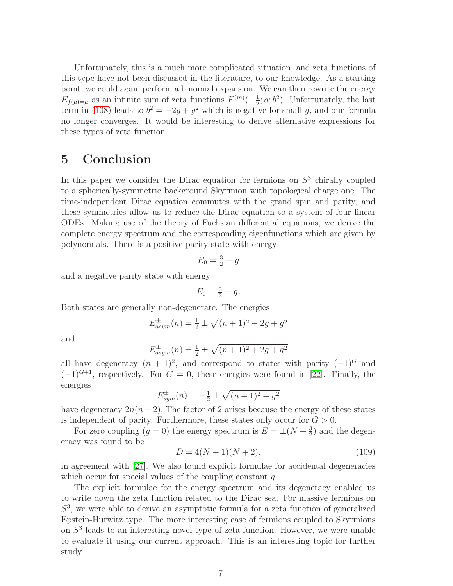Unfortunately, this is a much more complicated situation, and zeta functions of this type have not been discussed in the literature, to our knowledge. As a starting point, we could again perform a binomial expansion. We can then rewrite the energy  $E_{f(\mu)=\mu}$  as an infinite sum of zeta functions  $F^{(m)}(-\frac{1}{2})$  $\frac{1}{2}$ ; a; b<sup>2</sup>). Unfortunately, the last term in [\(108\)](#page-15-1) leads to  $b^2 = -2g + g^2$  which is negative for small g, and our formula no longer converges. It would be interesting to derive alternative expressions for these types of zeta function.

## <span id="page-17-1"></span><span id="page-17-0"></span>5 Conclusion

<span id="page-17-3"></span><span id="page-17-2"></span>In this paper we consider the Dirac equation for fermions on  $S<sup>3</sup>$  chirally coupled to a spherically-symmetric background Skyrmion with topological charge one. The time-independent Dirac equation commutes with the grand spin and parity, and these symmetries allow us to reduce the Dirac equation to a system of four linear ODEs. Making use of the theory of Fuchsian differential equations, we derive the complete energy spectrum and the corresponding eigenfunctions which are given by polynomials. There is a positive parity state with energy

$$
E_0 = \frac{3}{2} - g
$$

<span id="page-17-5"></span><span id="page-17-4"></span>and a negative parity state with energy

$$
E_0 = \frac{3}{2} + g.
$$

<span id="page-17-6"></span>Both states are generally non-degenerate. The energies

$$
E_{asym}^{\pm}(n) = \frac{1}{2} \pm \sqrt{(n+1)^2 - 2g + g^2}
$$

<span id="page-17-7"></span>and

$$
E_{asym}^{\pm}(n) = \frac{1}{2} \pm \sqrt{(n+1)^2 + 2g + g^2}
$$

<span id="page-17-9"></span><span id="page-17-8"></span>all have degeneracy  $(n + 1)^2$ , and correspond to states with parity  $(-1)^G$  and  $(-1)^{G+1}$ , respectively. For  $G = 0$ , these energies were found in [\[22\]](#page-18-5). Finally, the energies

$$
E_{sym}^{\pm}(n) = -\frac{1}{2} \pm \sqrt{(n+1)^2 + g^2}
$$

<span id="page-17-10"></span>have degeneracy  $2n(n+2)$ . The factor of 2 arises because the energy of these states is independent of parity. Furthermore, these states only occur for  $G > 0$ .

<span id="page-17-11"></span>For zero coupling  $(g = 0)$  the energy spectrum is  $E = \pm (N + \frac{3}{2})$  $\frac{3}{2}$ ) and the degeneracy was found to be

$$
D = 4(N+1)(N+2),
$$
\n(109)

<span id="page-17-12"></span>in agreement with [\[27\]](#page-18-10). We also found explicit formulae for accidental degeneracies which occur for special values of the coupling constant  $q$ .

<span id="page-17-15"></span><span id="page-17-14"></span><span id="page-17-13"></span>The explicit formulae for the energy spectrum and its degeneracy enabled us to write down the zeta function related to the Dirac sea. For massive fermions on S 3 , we were able to derive an asymptotic formula for a zeta function of generalized Epstein-Hurwitz type. The more interesting case of fermions coupled to Skyrmions on  $S<sup>3</sup>$  leads to an interesting novel type of zeta function. However, we were unable to evaluate it using our current approach. This is an interesting topic for further study.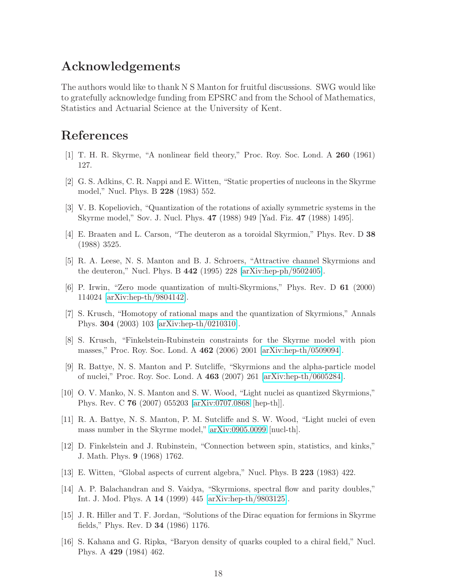#### <span id="page-18-0"></span>Acknowledgements

<span id="page-18-1"></span>The authors would like to thank N S Manton for fruitful discussions. SWG would like to gratefully acknowledge funding from EPSRC and from the School of Mathematics, Statistics and Actuarial Science at the University of Kent.

# <span id="page-18-2"></span>References

- <span id="page-18-4"></span><span id="page-18-3"></span>[1] T. H. R. Skyrme, "A nonlinear field theory," Proc. Roy. Soc. Lond. A 260 (1961) 127.
- <span id="page-18-5"></span>[2] G. S. Adkins, C. R. Nappi and E. Witten, "Static properties of nucleons in the Skyrme model," Nucl. Phys. B 228 (1983) 552.
- <span id="page-18-6"></span>[3] V. B. Kopeliovich, "Quantization of the rotations of axially symmetric systems in the Skyrme model," Sov. J. Nucl. Phys. 47 (1988) 949 [Yad. Fiz. 47 (1988) 1495].
- <span id="page-18-7"></span>[4] E. Braaten and L. Carson, "The deuteron as a toroidal Skyrmion," Phys. Rev. D 38 (1988) 3525.
- <span id="page-18-8"></span>[5] R. A. Leese, N. S. Manton and B. J. Schroers, "Attractive channel Skyrmions and the deuteron," Nucl. Phys. B  $442$  (1995) 228 [\[arXiv:hep-ph/9502405\]](http://lanl.arxiv.org/abs/hep-ph/9502405).
- <span id="page-18-9"></span>[6] P. Irwin, "Zero mode quantization of multi-Skyrmions," Phys. Rev. D 61 (2000) 114024 [\[arXiv:hep-th/9804142\]](http://lanl.arxiv.org/abs/hep-th/9804142).
- <span id="page-18-10"></span>[7] S. Krusch, "Homotopy of rational maps and the quantization of Skyrmions," Annals Phys. 304 (2003) 103 [\[arXiv:hep-th/0210310\]](http://lanl.arxiv.org/abs/hep-th/0210310).
- <span id="page-18-11"></span>[8] S. Krusch, "Finkelstein-Rubinstein constraints for the Skyrme model with pion masses," Proc. Roy. Soc. Lond. A 462 (2006) 2001 [\[arXiv:hep-th/0509094\]](http://lanl.arxiv.org/abs/hep-th/0509094).
- <span id="page-18-12"></span>[9] R. Battye, N. S. Manton and P. Sutcliffe, "Skyrmions and the alpha-particle model of nuclei," Proc. Roy. Soc. Lond. A 463 (2007) 261 [\[arXiv:hep-th/0605284\]](http://lanl.arxiv.org/abs/hep-th/0605284).
- <span id="page-18-13"></span>[10] O. V. Manko, N. S. Manton and S. W. Wood, "Light nuclei as quantized Skyrmions," Phys. Rev. C 76 (2007) 055203 [\[arXiv:0707.0868](http://lanl.arxiv.org/abs/0707.0868) [hep-th]].
- [11] R. A. Battye, N. S. Manton, P. M. Sutcliffe and S. W. Wood, "Light nuclei of even mass number in the Skyrme model," [arXiv:0905.0099](http://lanl.arxiv.org/abs/0905.0099) [nucl-th].
- [12] D. Finkelstein and J. Rubinstein, "Connection between spin, statistics, and kinks," J. Math. Phys. 9 (1968) 1762.
- [13] E. Witten, "Global aspects of current algebra," Nucl. Phys. B 223 (1983) 422.
- [14] A. P. Balachandran and S. Vaidya, "Skyrmions, spectral flow and parity doubles," Int. J. Mod. Phys. A 14 (1999) 445 [\[arXiv:hep-th/9803125\]](http://lanl.arxiv.org/abs/hep-th/9803125).
- [15] J. R. Hiller and T. F. Jordan, "Solutions of the Dirac equation for fermions in Skyrme fields," Phys. Rev. D 34 (1986) 1176.
- [16] S. Kahana and G. Ripka, "Baryon density of quarks coupled to a chiral field," Nucl. Phys. A 429 (1984) 462.